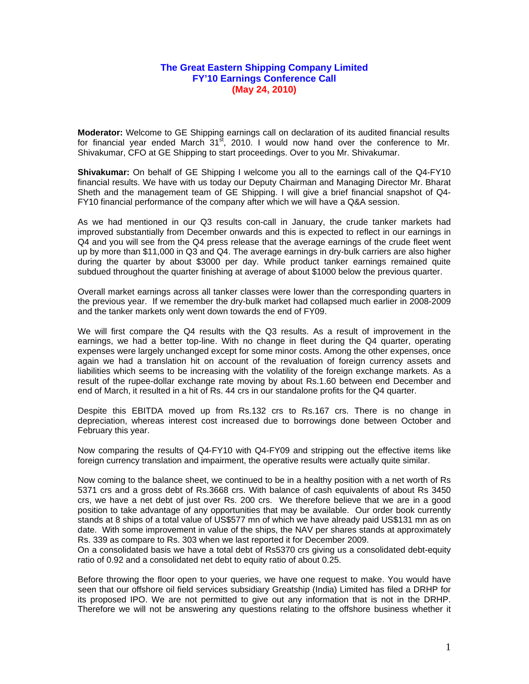## **The Great Eastern Shipping Company Limited FY'10 Earnings Conference Call (May 24, 2010)**

**Moderator:** Welcome to GE Shipping earnings call on declaration of its audited financial results for financial year ended March  $31^{st}$ , 2010. I would now hand over the conference to Mr. Shivakumar, CFO at GE Shipping to start proceedings. Over to you Mr. Shivakumar.

**Shivakumar:** On behalf of GE Shipping I welcome you all to the earnings call of the Q4-FY10 financial results. We have with us today our Deputy Chairman and Managing Director Mr. Bharat Sheth and the management team of GE Shipping. I will give a brief financial snapshot of Q4- FY10 financial performance of the company after which we will have a Q&A session.

As we had mentioned in our Q3 results con-call in January, the crude tanker markets had improved substantially from December onwards and this is expected to reflect in our earnings in Q4 and you will see from the Q4 press release that the average earnings of the crude fleet went up by more than \$11,000 in Q3 and Q4. The average earnings in dry-bulk carriers are also higher during the quarter by about \$3000 per day. While product tanker earnings remained quite subdued throughout the quarter finishing at average of about \$1000 below the previous quarter.

Overall market earnings across all tanker classes were lower than the corresponding quarters in the previous year. If we remember the dry-bulk market had collapsed much earlier in 2008-2009 and the tanker markets only went down towards the end of FY09.

We will first compare the Q4 results with the Q3 results. As a result of improvement in the earnings, we had a better top-line. With no change in fleet during the Q4 quarter, operating expenses were largely unchanged except for some minor costs. Among the other expenses, once again we had a translation hit on account of the revaluation of foreign currency assets and liabilities which seems to be increasing with the volatility of the foreign exchange markets. As a result of the rupee-dollar exchange rate moving by about Rs.1.60 between end December and end of March, it resulted in a hit of Rs. 44 crs in our standalone profits for the Q4 quarter.

Despite this EBITDA moved up from Rs.132 crs to Rs.167 crs. There is no change in depreciation, whereas interest cost increased due to borrowings done between October and February this year.

Now comparing the results of Q4-FY10 with Q4-FY09 and stripping out the effective items like foreign currency translation and impairment, the operative results were actually quite similar.

Now coming to the balance sheet, we continued to be in a healthy position with a net worth of Rs 5371 crs and a gross debt of Rs.3668 crs. With balance of cash equivalents of about Rs 3450 crs, we have a net debt of just over Rs. 200 crs. We therefore believe that we are in a good position to take advantage of any opportunities that may be available. Our order book currently stands at 8 ships of a total value of US\$577 mn of which we have already paid US\$131 mn as on date. With some improvement in value of the ships, the NAV per shares stands at approximately Rs. 339 as compare to Rs. 303 when we last reported it for December 2009.

On a consolidated basis we have a total debt of Rs5370 crs giving us a consolidated debt-equity ratio of 0.92 and a consolidated net debt to equity ratio of about 0.25.

Before throwing the floor open to your queries, we have one request to make. You would have seen that our offshore oil field services subsidiary Greatship (India) Limited has filed a DRHP for its proposed IPO. We are not permitted to give out any information that is not in the DRHP. Therefore we will not be answering any questions relating to the offshore business whether it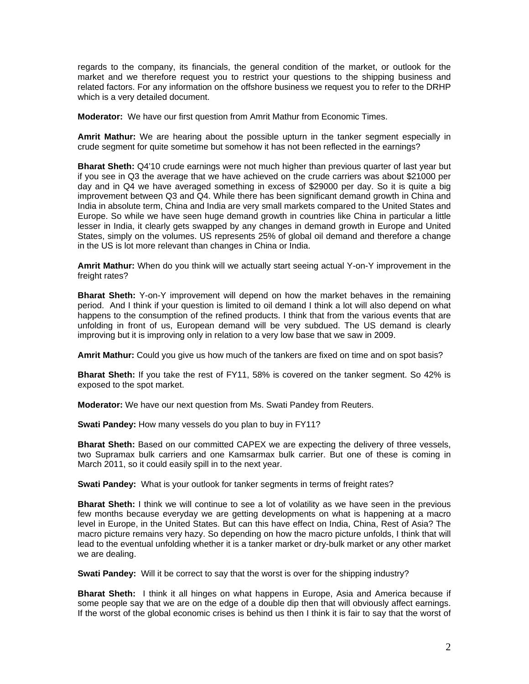regards to the company, its financials, the general condition of the market, or outlook for the market and we therefore request you to restrict your questions to the shipping business and related factors. For any information on the offshore business we request you to refer to the DRHP which is a very detailed document.

**Moderator:** We have our first question from Amrit Mathur from Economic Times.

**Amrit Mathur:** We are hearing about the possible upturn in the tanker segment especially in crude segment for quite sometime but somehow it has not been reflected in the earnings?

**Bharat Sheth:** Q4'10 crude earnings were not much higher than previous quarter of last year but if you see in Q3 the average that we have achieved on the crude carriers was about \$21000 per day and in Q4 we have averaged something in excess of \$29000 per day. So it is quite a big improvement between Q3 and Q4. While there has been significant demand growth in China and India in absolute term, China and India are very small markets compared to the United States and Europe. So while we have seen huge demand growth in countries like China in particular a little lesser in India, it clearly gets swapped by any changes in demand growth in Europe and United States, simply on the volumes. US represents 25% of global oil demand and therefore a change in the US is lot more relevant than changes in China or India.

**Amrit Mathur:** When do you think will we actually start seeing actual Y-on-Y improvement in the freight rates?

**Bharat Sheth:** Y-on-Y improvement will depend on how the market behaves in the remaining period. And I think if your question is limited to oil demand I think a lot will also depend on what happens to the consumption of the refined products. I think that from the various events that are unfolding in front of us, European demand will be very subdued. The US demand is clearly improving but it is improving only in relation to a very low base that we saw in 2009.

**Amrit Mathur:** Could you give us how much of the tankers are fixed on time and on spot basis?

**Bharat Sheth:** If you take the rest of FY11, 58% is covered on the tanker segment. So 42% is exposed to the spot market.

**Moderator:** We have our next question from Ms. Swati Pandey from Reuters.

**Swati Pandey:** How many vessels do you plan to buy in FY11?

**Bharat Sheth:** Based on our committed CAPEX we are expecting the delivery of three vessels, two Supramax bulk carriers and one Kamsarmax bulk carrier. But one of these is coming in March 2011, so it could easily spill in to the next year.

**Swati Pandey:** What is your outlook for tanker segments in terms of freight rates?

**Bharat Sheth:** I think we will continue to see a lot of volatility as we have seen in the previous few months because everyday we are getting developments on what is happening at a macro level in Europe, in the United States. But can this have effect on India, China, Rest of Asia? The macro picture remains very hazy. So depending on how the macro picture unfolds, I think that will lead to the eventual unfolding whether it is a tanker market or dry-bulk market or any other market we are dealing.

**Swati Pandey:** Will it be correct to say that the worst is over for the shipping industry?

**Bharat Sheth:** I think it all hinges on what happens in Europe, Asia and America because if some people say that we are on the edge of a double dip then that will obviously affect earnings. If the worst of the global economic crises is behind us then I think it is fair to say that the worst of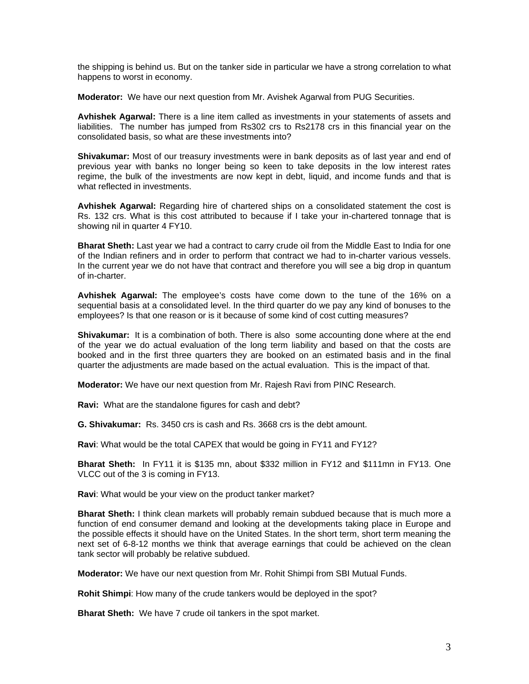the shipping is behind us. But on the tanker side in particular we have a strong correlation to what happens to worst in economy.

**Moderator:** We have our next question from Mr. Avishek Agarwal from PUG Securities.

**Avhishek Agarwal:** There is a line item called as investments in your statements of assets and liabilities. The number has jumped from Rs302 crs to Rs2178 crs in this financial year on the consolidated basis, so what are these investments into?

**Shivakumar:** Most of our treasury investments were in bank deposits as of last year and end of previous year with banks no longer being so keen to take deposits in the low interest rates regime, the bulk of the investments are now kept in debt, liquid, and income funds and that is what reflected in investments.

**Avhishek Agarwal:** Regarding hire of chartered ships on a consolidated statement the cost is Rs. 132 crs. What is this cost attributed to because if I take your in-chartered tonnage that is showing nil in quarter 4 FY10.

**Bharat Sheth:** Last year we had a contract to carry crude oil from the Middle East to India for one of the Indian refiners and in order to perform that contract we had to in-charter various vessels. In the current year we do not have that contract and therefore you will see a big drop in quantum of in-charter.

**Avhishek Agarwal:** The employee's costs have come down to the tune of the 16% on a sequential basis at a consolidated level. In the third quarter do we pay any kind of bonuses to the employees? Is that one reason or is it because of some kind of cost cutting measures?

**Shivakumar:** It is a combination of both. There is also some accounting done where at the end of the year we do actual evaluation of the long term liability and based on that the costs are booked and in the first three quarters they are booked on an estimated basis and in the final quarter the adjustments are made based on the actual evaluation. This is the impact of that.

**Moderator:** We have our next question from Mr. Rajesh Ravi from PINC Research.

**Ravi:** What are the standalone figures for cash and debt?

**G. Shivakumar:** Rs. 3450 crs is cash and Rs. 3668 crs is the debt amount.

**Ravi**: What would be the total CAPEX that would be going in FY11 and FY12?

**Bharat Sheth:** In FY11 it is \$135 mn, about \$332 million in FY12 and \$111mn in FY13. One VLCC out of the 3 is coming in FY13.

**Ravi**: What would be your view on the product tanker market?

**Bharat Sheth:** I think clean markets will probably remain subdued because that is much more a function of end consumer demand and looking at the developments taking place in Europe and the possible effects it should have on the United States. In the short term, short term meaning the next set of 6-8-12 months we think that average earnings that could be achieved on the clean tank sector will probably be relative subdued.

**Moderator:** We have our next question from Mr. Rohit Shimpi from SBI Mutual Funds.

**Rohit Shimpi**: How many of the crude tankers would be deployed in the spot?

**Bharat Sheth:** We have 7 crude oil tankers in the spot market.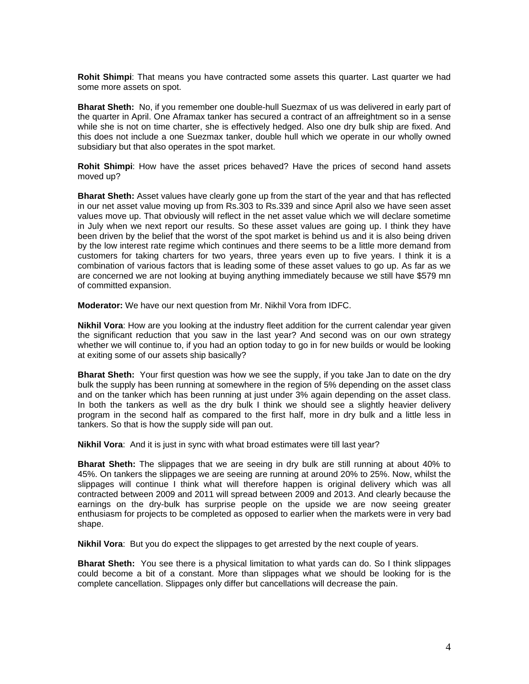**Rohit Shimpi**: That means you have contracted some assets this quarter. Last quarter we had some more assets on spot.

**Bharat Sheth:** No, if you remember one double-hull Suezmax of us was delivered in early part of the quarter in April. One Aframax tanker has secured a contract of an affreightment so in a sense while she is not on time charter, she is effectively hedged. Also one dry bulk ship are fixed. And this does not include a one Suezmax tanker, double hull which we operate in our wholly owned subsidiary but that also operates in the spot market.

**Rohit Shimpi**: How have the asset prices behaved? Have the prices of second hand assets moved up?

**Bharat Sheth:** Asset values have clearly gone up from the start of the year and that has reflected in our net asset value moving up from Rs.303 to Rs.339 and since April also we have seen asset values move up. That obviously will reflect in the net asset value which we will declare sometime in July when we next report our results. So these asset values are going up. I think they have been driven by the belief that the worst of the spot market is behind us and it is also being driven by the low interest rate regime which continues and there seems to be a little more demand from customers for taking charters for two years, three years even up to five years. I think it is a combination of various factors that is leading some of these asset values to go up. As far as we are concerned we are not looking at buying anything immediately because we still have \$579 mn of committed expansion.

**Moderator:** We have our next question from Mr. Nikhil Vora from IDFC.

**Nikhil Vora**: How are you looking at the industry fleet addition for the current calendar year given the significant reduction that you saw in the last year? And second was on our own strategy whether we will continue to, if you had an option today to go in for new builds or would be looking at exiting some of our assets ship basically?

**Bharat Sheth:** Your first question was how we see the supply, if you take Jan to date on the dry bulk the supply has been running at somewhere in the region of 5% depending on the asset class and on the tanker which has been running at just under 3% again depending on the asset class. In both the tankers as well as the dry bulk I think we should see a slightly heavier delivery program in the second half as compared to the first half, more in dry bulk and a little less in tankers. So that is how the supply side will pan out.

**Nikhil Vora**: And it is just in sync with what broad estimates were till last year?

**Bharat Sheth:** The slippages that we are seeing in dry bulk are still running at about 40% to 45%. On tankers the slippages we are seeing are running at around 20% to 25%. Now, whilst the slippages will continue I think what will therefore happen is original delivery which was all contracted between 2009 and 2011 will spread between 2009 and 2013. And clearly because the earnings on the dry-bulk has surprise people on the upside we are now seeing greater enthusiasm for projects to be completed as opposed to earlier when the markets were in very bad shape.

**Nikhil Vora**: But you do expect the slippages to get arrested by the next couple of years.

**Bharat Sheth:** You see there is a physical limitation to what yards can do. So I think slippages could become a bit of a constant. More than slippages what we should be looking for is the complete cancellation. Slippages only differ but cancellations will decrease the pain.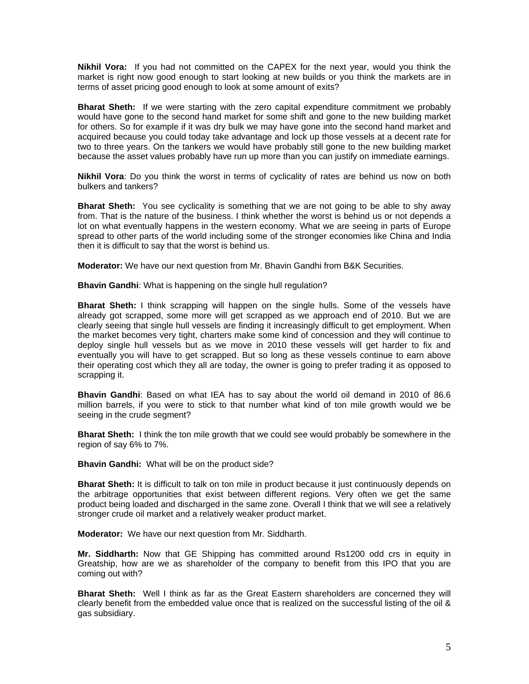**Nikhil Vora:** If you had not committed on the CAPEX for the next year, would you think the market is right now good enough to start looking at new builds or you think the markets are in terms of asset pricing good enough to look at some amount of exits?

**Bharat Sheth:** If we were starting with the zero capital expenditure commitment we probably would have gone to the second hand market for some shift and gone to the new building market for others. So for example if it was dry bulk we may have gone into the second hand market and acquired because you could today take advantage and lock up those vessels at a decent rate for two to three years. On the tankers we would have probably still gone to the new building market because the asset values probably have run up more than you can justify on immediate earnings.

**Nikhil Vora**: Do you think the worst in terms of cyclicality of rates are behind us now on both bulkers and tankers?

**Bharat Sheth:** You see cyclicality is something that we are not going to be able to shy away from. That is the nature of the business. I think whether the worst is behind us or not depends a lot on what eventually happens in the western economy. What we are seeing in parts of Europe spread to other parts of the world including some of the stronger economies like China and India then it is difficult to say that the worst is behind us.

**Moderator:** We have our next question from Mr. Bhavin Gandhi from B&K Securities.

**Bhavin Gandhi**: What is happening on the single hull regulation?

**Bharat Sheth:** I think scrapping will happen on the single hulls. Some of the vessels have already got scrapped, some more will get scrapped as we approach end of 2010. But we are clearly seeing that single hull vessels are finding it increasingly difficult to get employment. When the market becomes very tight, charters make some kind of concession and they will continue to deploy single hull vessels but as we move in 2010 these vessels will get harder to fix and eventually you will have to get scrapped. But so long as these vessels continue to earn above their operating cost which they all are today, the owner is going to prefer trading it as opposed to scrapping it.

**Bhavin Gandhi**: Based on what IEA has to say about the world oil demand in 2010 of 86.6 million barrels, if you were to stick to that number what kind of ton mile growth would we be seeing in the crude segment?

**Bharat Sheth:** I think the ton mile growth that we could see would probably be somewhere in the region of say 6% to 7%.

**Bhavin Gandhi:** What will be on the product side?

**Bharat Sheth:** It is difficult to talk on ton mile in product because it just continuously depends on the arbitrage opportunities that exist between different regions. Very often we get the same product being loaded and discharged in the same zone. Overall I think that we will see a relatively stronger crude oil market and a relatively weaker product market.

**Moderator:** We have our next question from Mr. Siddharth.

**Mr. Siddharth:** Now that GE Shipping has committed around Rs1200 odd crs in equity in Greatship, how are we as shareholder of the company to benefit from this IPO that you are coming out with?

**Bharat Sheth:** Well I think as far as the Great Eastern shareholders are concerned they will clearly benefit from the embedded value once that is realized on the successful listing of the oil & gas subsidiary.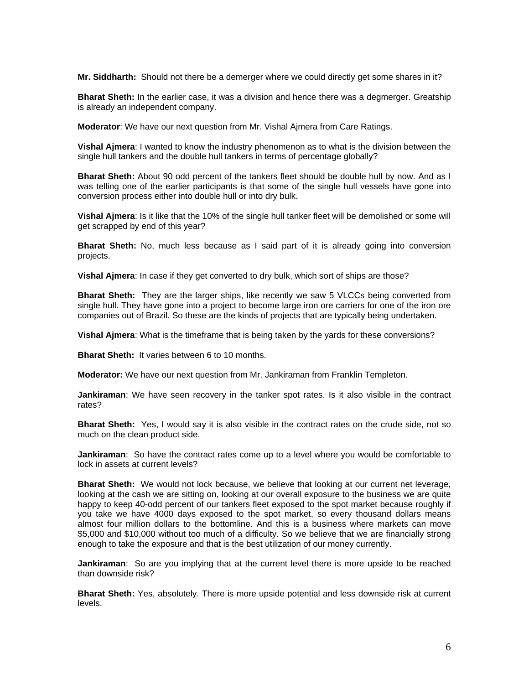**Mr. Siddharth:** Should not there be a demerger where we could directly get some shares in it?

**Bharat Sheth:** In the earlier case, it was a division and hence there was a degmerger. Greatship is already an independent company.

**Moderator**: We have our next question from Mr. Vishal Ajmera from Care Ratings.

**Vishal Ajmera**: I wanted to know the industry phenomenon as to what is the division between the single hull tankers and the double hull tankers in terms of percentage globally?

**Bharat Sheth:** About 90 odd percent of the tankers fleet should be double hull by now. And as I was telling one of the earlier participants is that some of the single hull vessels have gone into conversion process either into double hull or into dry bulk.

**Vishal Ajmera**: Is it like that the 10% of the single hull tanker fleet will be demolished or some will get scrapped by end of this year?

**Bharat Sheth:** No, much less because as I said part of it is already going into conversion projects.

**Vishal Ajmera**: In case if they get converted to dry bulk, which sort of ships are those?

**Bharat Sheth:** They are the larger ships, like recently we saw 5 VLCCs being converted from single hull. They have gone into a project to become large iron ore carriers for one of the iron ore companies out of Brazil. So these are the kinds of projects that are typically being undertaken.

**Vishal Ajmera**: What is the timeframe that is being taken by the yards for these conversions?

**Bharat Sheth:** It varies between 6 to 10 months.

**Moderator:** We have our next question from Mr. Jankiraman from Franklin Templeton.

**Jankiraman**: We have seen recovery in the tanker spot rates. Is it also visible in the contract rates?

**Bharat Sheth:** Yes, I would say it is also visible in the contract rates on the crude side, not so much on the clean product side.

**Jankiraman**: So have the contract rates come up to a level where you would be comfortable to lock in assets at current levels?

**Bharat Sheth:** We would not lock because, we believe that looking at our current net leverage, looking at the cash we are sitting on, looking at our overall exposure to the business we are quite happy to keep 40-odd percent of our tankers fleet exposed to the spot market because roughly if you take we have 4000 days exposed to the spot market, so every thousand dollars means almost four million dollars to the bottomline. And this is a business where markets can move \$5,000 and \$10,000 without too much of a difficulty. So we believe that we are financially strong enough to take the exposure and that is the best utilization of our money currently.

**Jankiraman**: So are you implying that at the current level there is more upside to be reached than downside risk?

**Bharat Sheth:** Yes, absolutely. There is more upside potential and less downside risk at current levels.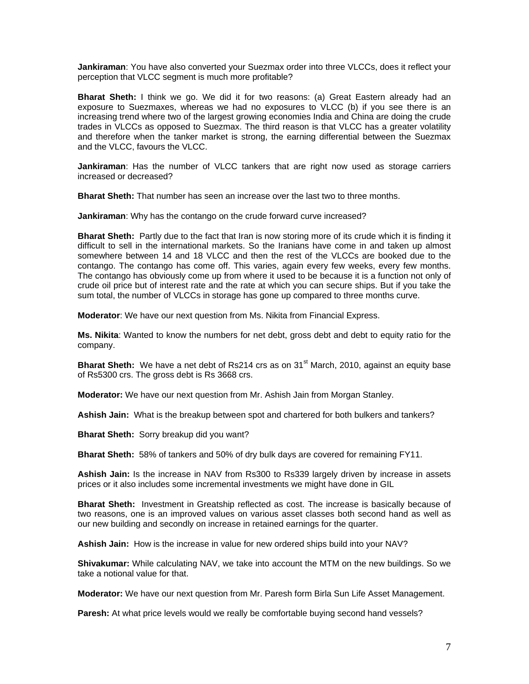**Jankiraman**: You have also converted your Suezmax order into three VLCCs, does it reflect your perception that VLCC segment is much more profitable?

**Bharat Sheth:** I think we go. We did it for two reasons: (a) Great Eastern already had an exposure to Suezmaxes, whereas we had no exposures to VLCC (b) if you see there is an increasing trend where two of the largest growing economies India and China are doing the crude trades in VLCCs as opposed to Suezmax. The third reason is that VLCC has a greater volatility and therefore when the tanker market is strong, the earning differential between the Suezmax and the VLCC, favours the VLCC.

**Jankiraman**: Has the number of VLCC tankers that are right now used as storage carriers increased or decreased?

**Bharat Sheth:** That number has seen an increase over the last two to three months.

**Jankiraman**: Why has the contango on the crude forward curve increased?

**Bharat Sheth:** Partly due to the fact that Iran is now storing more of its crude which it is finding it difficult to sell in the international markets. So the Iranians have come in and taken up almost somewhere between 14 and 18 VLCC and then the rest of the VLCCs are booked due to the contango. The contango has come off. This varies, again every few weeks, every few months. The contango has obviously come up from where it used to be because it is a function not only of crude oil price but of interest rate and the rate at which you can secure ships. But if you take the sum total, the number of VLCCs in storage has gone up compared to three months curve.

**Moderator**: We have our next question from Ms. Nikita from Financial Express.

**Ms. Nikita**: Wanted to know the numbers for net debt, gross debt and debt to equity ratio for the company.

**Bharat Sheth:** We have a net debt of Rs214 crs as on 31<sup>st</sup> March, 2010, against an equity base of Rs5300 crs. The gross debt is Rs 3668 crs.

**Moderator:** We have our next question from Mr. Ashish Jain from Morgan Stanley.

**Ashish Jain:** What is the breakup between spot and chartered for both bulkers and tankers?

**Bharat Sheth:** Sorry breakup did you want?

**Bharat Sheth:** 58% of tankers and 50% of dry bulk days are covered for remaining FY11.

**Ashish Jain:** Is the increase in NAV from Rs300 to Rs339 largely driven by increase in assets prices or it also includes some incremental investments we might have done in GIL

**Bharat Sheth:** Investment in Greatship reflected as cost. The increase is basically because of two reasons, one is an improved values on various asset classes both second hand as well as our new building and secondly on increase in retained earnings for the quarter.

**Ashish Jain:** How is the increase in value for new ordered ships build into your NAV?

**Shivakumar:** While calculating NAV, we take into account the MTM on the new buildings. So we take a notional value for that.

**Moderator:** We have our next question from Mr. Paresh form Birla Sun Life Asset Management.

**Paresh:** At what price levels would we really be comfortable buying second hand vessels?